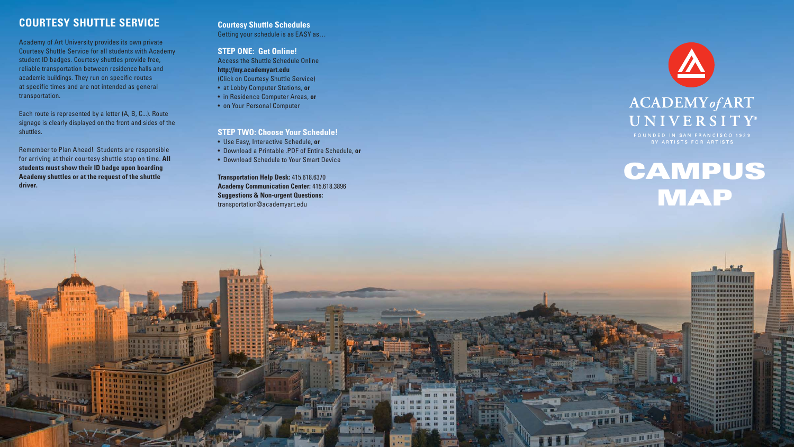# **COURTESY SHUTTLE SERVICE**

Academy of Art University provides its own private Courtesy Shuttle Service for all students with Academy student ID badges. Courtesy shuttles provide free, reliable transportation between residence halls and academic buildings. They run on specific routes at specific times and are not intended as general transportation.

Each route is represented by a letter (A, B, C...). Route signage is clearly displayed on the front and sides of the shuttles.

Remember to Plan Ahead! Students are responsible for arriving at their courtesy shuttle stop on time. **All students must show their ID badge upon boarding Academy shuttles or at the request of the shuttle driver.** 

# **CAMPUS** MAP

**PARTIES OF THE REAL PROPERTY** 

**TANTIFICA** 

**IIIII NAMESSESSES** 1111111 ======

### **Courtesy Shuttle Schedules** Getting your schedule is as EASY as…

# **STEP ONE: Get Online!**

Access the Shuttle Schedule Online **http://my.academyart.edu** (Click on Courtesy Shuttle Service)

- at Lobby Computer Stations, **or**
- in Residence Computer Areas, **or**
- on Your Personal Computer

# **STEP TWO: Choose Your Schedule!**

- Use Easy, Interactive Schedule, **or**
- Download a Printable .PDF of Entire Schedule, **or**
- Download Schedule to Your Smart Device

**Transportation Help Desk:** 415.618.6370 **Academy Communication Center:** 415.618.3896 **Suggestions & Non-urgent Questions:**  transportation@academyart.edu

**FE FFE** 11



# ACADEMY of ART UNIVERSITY®